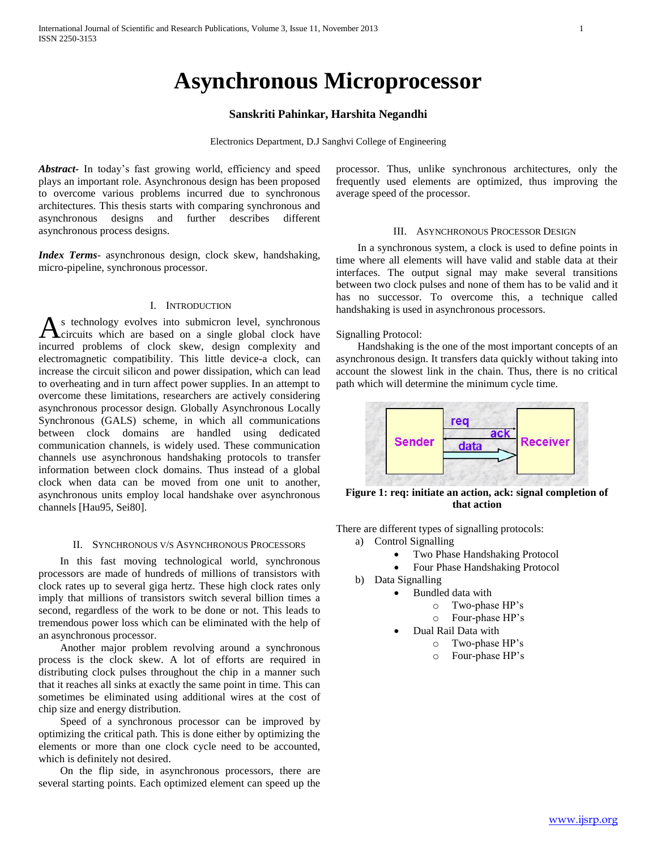# **Asynchronous Microprocessor**

# **Sanskriti Pahinkar, Harshita Negandhi**

Electronics Department, D.J Sanghvi College of Engineering

*Abstract***-** In today's fast growing world, efficiency and speed plays an important role. Asynchronous design has been proposed to overcome various problems incurred due to synchronous architectures. This thesis starts with comparing synchronous and asynchronous designs and further describes different asynchronous process designs.

*Index Terms*- asynchronous design, clock skew, handshaking, micro-pipeline, synchronous processor.

# I. INTRODUCTION

s technology evolves into submicron level, synchronous circuits which are based on a single global clock have As technology evolves into submicron level, synchronous<br>incurred problems of clock skew, design complexity and electromagnetic compatibility. This little device-a clock, can increase the circuit silicon and power dissipation, which can lead to overheating and in turn affect power supplies. In an attempt to overcome these limitations, researchers are actively considering asynchronous processor design. Globally Asynchronous Locally Synchronous (GALS) scheme, in which all communications between clock domains are handled using dedicated communication channels, is widely used. These communication channels use asynchronous handshaking protocols to transfer information between clock domains. Thus instead of a global clock when data can be moved from one unit to another, asynchronous units employ local handshake over asynchronous channels [Hau95, Sei80].

#### II. SYNCHRONOUS V/S ASYNCHRONOUS PROCESSORS

 In this fast moving technological world, synchronous processors are made of hundreds of millions of transistors with clock rates up to several giga hertz. These high clock rates only imply that millions of transistors switch several billion times a second, regardless of the work to be done or not. This leads to tremendous power loss which can be eliminated with the help of an asynchronous processor.

 Another major problem revolving around a synchronous process is the clock skew. A lot of efforts are required in distributing clock pulses throughout the chip in a manner such that it reaches all sinks at exactly the same point in time. This can sometimes be eliminated using additional wires at the cost of chip size and energy distribution.

 Speed of a synchronous processor can be improved by optimizing the critical path. This is done either by optimizing the elements or more than one clock cycle need to be accounted, which is definitely not desired.

 On the flip side, in asynchronous processors, there are several starting points. Each optimized element can speed up the

processor. Thus, unlike synchronous architectures, only the frequently used elements are optimized, thus improving the average speed of the processor.

### III. ASYNCHRONOUS PROCESSOR DESIGN

 In a synchronous system, a clock is used to define points in time where all elements will have valid and stable data at their interfaces. The output signal may make several transitions between two clock pulses and none of them has to be valid and it has no successor. To overcome this, a technique called handshaking is used in asynchronous processors.

#### Signalling Protocol:

 Handshaking is the one of the most important concepts of an asynchronous design. It transfers data quickly without taking into account the slowest link in the chain. Thus, there is no critical path which will determine the minimum cycle time.



**Figure 1: req: initiate an action, ack: signal completion of that action**

There are different types of signalling protocols:

- a) Control Signalling
	- Two Phase Handshaking Protocol
	- Four Phase Handshaking Protocol
	- b) Data Signalling
		- Bundled data with
			- o Two-phase HP's
			- o Four-phase HP's
			- Dual Rail Data with
				- o Two-phase HP's
				- o Four-phase HP's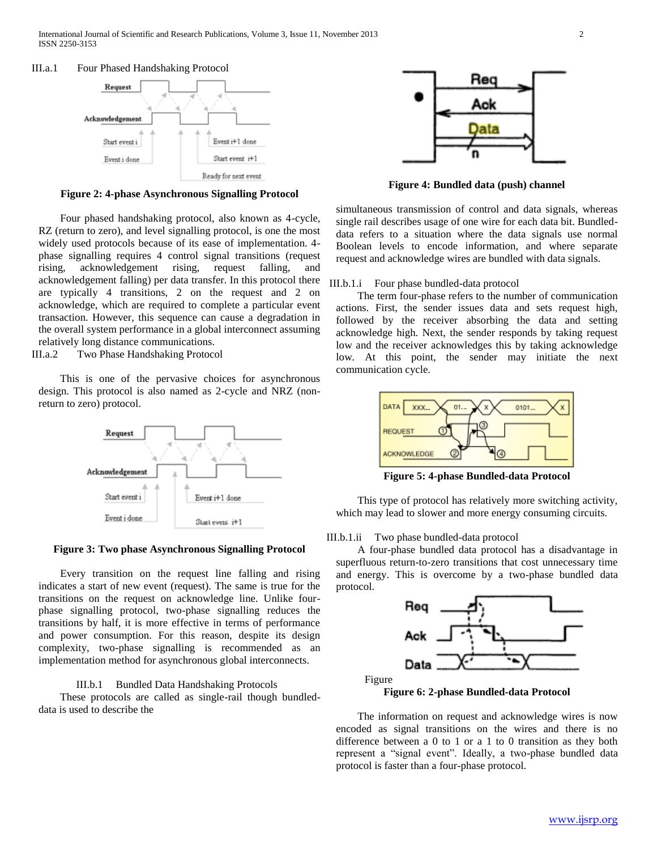#### III.a.1 Four Phased Handshaking Protocol



**Figure 2: 4-phase Asynchronous Signalling Protocol**

 Four phased handshaking protocol, also known as 4-cycle, RZ (return to zero), and level signalling protocol, is one the most widely used protocols because of its ease of implementation. 4 phase signalling requires 4 control signal transitions (request rising, acknowledgement rising, request falling, and acknowledgement falling) per data transfer. In this protocol there are typically 4 transitions, 2 on the request and 2 on acknowledge, which are required to complete a particular event transaction. However, this sequence can cause a degradation in the overall system performance in a global interconnect assuming relatively long distance communications.

III.a.2 Two Phase Handshaking Protocol

 This is one of the pervasive choices for asynchronous design. This protocol is also named as 2-cycle and NRZ (nonreturn to zero) protocol.



#### **Figure 3: Two phase Asynchronous Signalling Protocol**

 Every transition on the request line falling and rising indicates a start of new event (request). The same is true for the transitions on the request on acknowledge line. Unlike fourphase signalling protocol, two-phase signalling reduces the transitions by half, it is more effective in terms of performance and power consumption. For this reason, despite its design complexity, two-phase signalling is recommended as an implementation method for asynchronous global interconnects.

## III.b.1 Bundled Data Handshaking Protocols

 These protocols are called as single-rail though bundleddata is used to describe the



**Figure 4: Bundled data (push) channel**

simultaneous transmission of control and data signals, whereas single rail describes usage of one wire for each data bit. Bundleddata refers to a situation where the data signals use normal Boolean levels to encode information, and where separate request and acknowledge wires are bundled with data signals.

## III.b.1.i Four phase bundled-data protocol

 The term four-phase refers to the number of communication actions. First, the sender issues data and sets request high, followed by the receiver absorbing the data and setting acknowledge high. Next, the sender responds by taking request low and the receiver acknowledges this by taking acknowledge low. At this point, the sender may initiate the next communication cycle.



**Figure 5: 4-phase Bundled-data Protocol**

 This type of protocol has relatively more switching activity, which may lead to slower and more energy consuming circuits.

#### III.b.1.ii Two phase bundled-data protocol

 A four-phase bundled data protocol has a disadvantage in superfluous return-to-zero transitions that cost unnecessary time and energy. This is overcome by a two-phase bundled data protocol.



**Figure 6: 2-phase Bundled-data Protocol**

 The information on request and acknowledge wires is now encoded as signal transitions on the wires and there is no difference between a 0 to 1 or a 1 to 0 transition as they both represent a "signal event". Ideally, a two-phase bundled data protocol is faster than a four-phase protocol.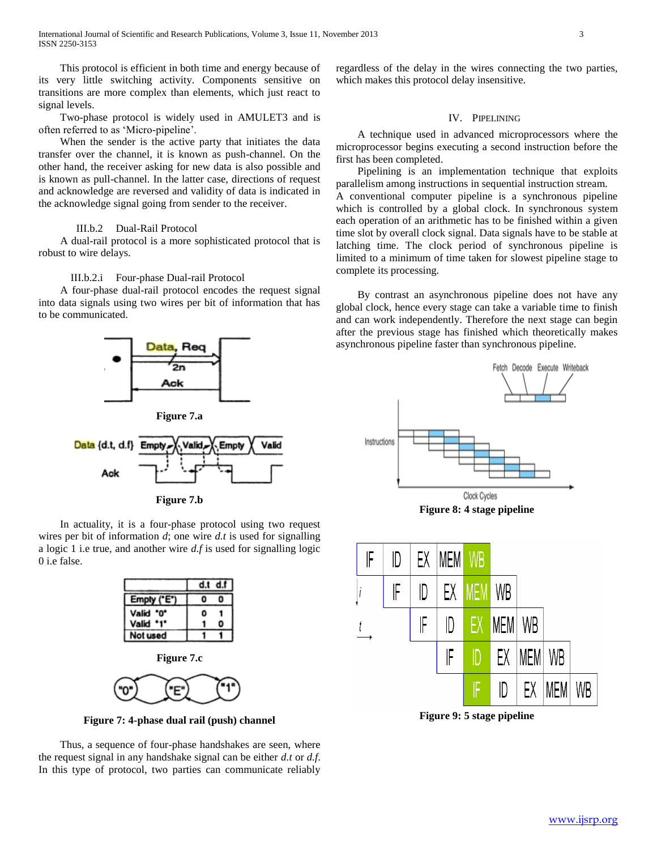This protocol is efficient in both time and energy because of its very little switching activity. Components sensitive on transitions are more complex than elements, which just react to signal levels.

 Two-phase protocol is widely used in AMULET3 and is often referred to as 'Micro-pipeline'.

 When the sender is the active party that initiates the data transfer over the channel, it is known as push-channel. On the other hand, the receiver asking for new data is also possible and is known as pull-channel. In the latter case, directions of request and acknowledge are reversed and validity of data is indicated in the acknowledge signal going from sender to the receiver.

## III.b.2 Dual-Rail Protocol

 A dual-rail protocol is a more sophisticated protocol that is robust to wire delays.

## III.b.2.i Four-phase Dual-rail Protocol

 A four-phase dual-rail protocol encodes the request signal into data signals using two wires per bit of information that has to be communicated.







 In actuality, it is a four-phase protocol using two request wires per bit of information *d*; one wire *d.t* is used for signalling a logic 1 i.e true, and another wire *d.f* is used for signalling logic 0 i.e false.

|            | d.t d.f |  |
|------------|---------|--|
| Empty ("E" |         |  |
| Valid "0"  |         |  |
| Valid '1'  |         |  |
| Not used   |         |  |





**Figure 7: 4-phase dual rail (push) channel**

 Thus, a sequence of four-phase handshakes are seen, where the request signal in any handshake signal can be either *d.t* or *d.f*. In this type of protocol, two parties can communicate reliably

regardless of the delay in the wires connecting the two parties, which makes this protocol delay insensitive.

# IV. PIPELINING

 A technique used in advanced microprocessors where the microprocessor begins executing a second instruction before the first has been completed.

 Pipelining is an implementation technique that exploits parallelism among instructions in sequential instruction stream. A conventional computer pipeline is a synchronous pipeline which is controlled by a global clock. In synchronous system each operation of an arithmetic has to be finished within a given time slot by overall clock signal. Data signals have to be stable at latching time. The clock period of synchronous pipeline is limited to a minimum of time taken for slowest pipeline stage to complete its processing.

 By contrast an asynchronous pipeline does not have any global clock, hence every stage can take a variable time to finish and can work independently. Therefore the next stage can begin after the previous stage has finished which theoretically makes asynchronous pipeline faster than synchronous pipeline.



**Figure 8: 4 stage pipeline**



**Figure 9: 5 stage pipeline**